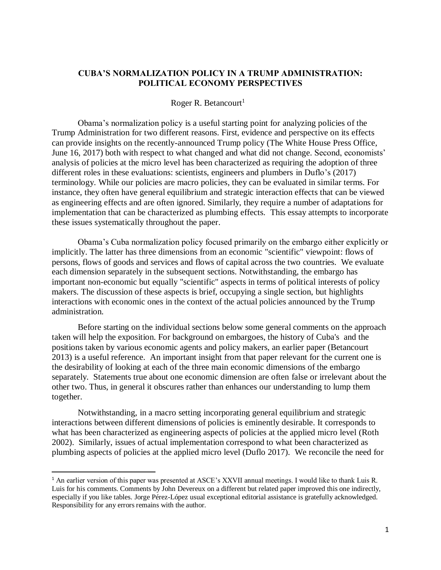## **CUBA'S NORMALIZATION POLICY IN A TRUMP ADMINISTRATION: POLITICAL ECONOMY PERSPECTIVES**

### Roger R. Betancourt<sup>1</sup>

Obama's normalization policy is a useful starting point for analyzing policies of the Trump Administration for two different reasons. First, evidence and perspective on its effects can provide insights on the recently-announced Trump policy (The White House Press Office, June 16, 2017) both with respect to what changed and what did not change. Second, economists' analysis of policies at the micro level has been characterized as requiring the adoption of three different roles in these evaluations: scientists, engineers and plumbers in Duflo's (2017) terminology. While our policies are macro policies, they can be evaluated in similar terms. For instance, they often have general equilibrium and strategic interaction effects that can be viewed as engineering effects and are often ignored. Similarly, they require a number of adaptations for implementation that can be characterized as plumbing effects. This essay attempts to incorporate these issues systematically throughout the paper.

Obama's Cuba normalization policy focused primarily on the embargo either explicitly or implicitly. The latter has three dimensions from an economic "scientific" viewpoint: flows of persons, flows of goods and services and flows of capital across the two countries. We evaluate each dimension separately in the subsequent sections. Notwithstanding, the embargo has important non-economic but equally "scientific" aspects in terms of political interests of policy makers. The discussion of these aspects is brief, occupying a single section, but highlights interactions with economic ones in the context of the actual policies announced by the Trump administration.

Before starting on the individual sections below some general comments on the approach taken will help the exposition. For background on embargoes, the history of Cuba's and the positions taken by various economic agents and policy makers, an earlier paper (Betancourt 2013) is a useful reference. An important insight from that paper relevant for the current one is the desirability of looking at each of the three main economic dimensions of the embargo separately. Statements true about one economic dimension are often false or irrelevant about the other two. Thus, in general it obscures rather than enhances our understanding to lump them together.

Notwithstanding, in a macro setting incorporating general equilibrium and strategic interactions between different dimensions of policies is eminently desirable. It corresponds to what has been characterized as engineering aspects of policies at the applied micro level (Roth 2002). Similarly, issues of actual implementation correspond to what been characterized as plumbing aspects of policies at the applied micro level (Duflo 2017). We reconcile the need for

 $\overline{\phantom{a}}$ 

<sup>&</sup>lt;sup>1</sup> An earlier version of this paper was presented at ASCE's XXVII annual meetings. I would like to thank Luis R. Luis for his comments. Comments by John Devereux on a different but related paper improved this one indirectly, especially if you like tables. Jorge Pérez-López usual exceptional editorial assistance is gratefully acknowledged. Responsibility for any errors remains with the author.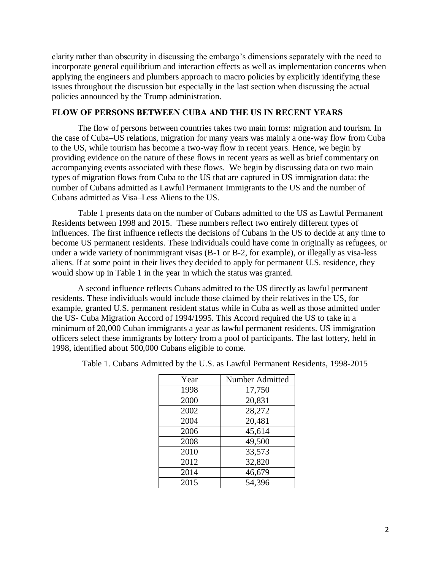clarity rather than obscurity in discussing the embargo's dimensions separately with the need to incorporate general equilibrium and interaction effects as well as implementation concerns when applying the engineers and plumbers approach to macro policies by explicitly identifying these issues throughout the discussion but especially in the last section when discussing the actual policies announced by the Trump administration.

### **FLOW OF PERSONS BETWEEN CUBA AND THE US IN RECENT YEARS**

The flow of persons between countries takes two main forms: migration and tourism. In the case of Cuba–US relations, migration for many years was mainly a one-way flow from Cuba to the US, while tourism has become a two-way flow in recent years. Hence, we begin by providing evidence on the nature of these flows in recent years as well as brief commentary on accompanying events associated with these flows. We begin by discussing data on two main types of migration flows from Cuba to the US that are captured in US immigration data: the number of Cubans admitted as Lawful Permanent Immigrants to the US and the number of Cubans admitted as Visa–Less Aliens to the US.

Table 1 presents data on the number of Cubans admitted to the US as Lawful Permanent Residents between 1998 and 2015. These numbers reflect two entirely different types of influences. The first influence reflects the decisions of Cubans in the US to decide at any time to become US permanent residents. These individuals could have come in originally as refugees, or under a wide variety of nonimmigrant visas (B-1 or B-2, for example), or illegally as visa-less aliens. If at some point in their lives they decided to apply for permanent U.S. residence, they would show up in Table 1 in the year in which the status was granted.

A second influence reflects Cubans admitted to the US directly as lawful permanent residents. These individuals would include those claimed by their relatives in the US, for example, granted U.S. permanent resident status while in Cuba as well as those admitted under the US- Cuba Migration Accord of 1994/1995. This Accord required the US to take in a minimum of 20,000 Cuban immigrants a year as lawful permanent residents. US immigration officers select these immigrants by lottery from a pool of participants. The last lottery, held in 1998, identified about 500,000 Cubans eligible to come.

| Year | Number Admitted |
|------|-----------------|
| 1998 | 17,750          |
| 2000 | 20,831          |
| 2002 | 28,272          |
| 2004 | 20,481          |
| 2006 | 45,614          |
| 2008 | 49,500          |
| 2010 | 33,573          |
| 2012 | 32,820          |
| 2014 | 46,679          |
| 2015 | 54,396          |

Table 1. Cubans Admitted by the U.S. as Lawful Permanent Residents, 1998-2015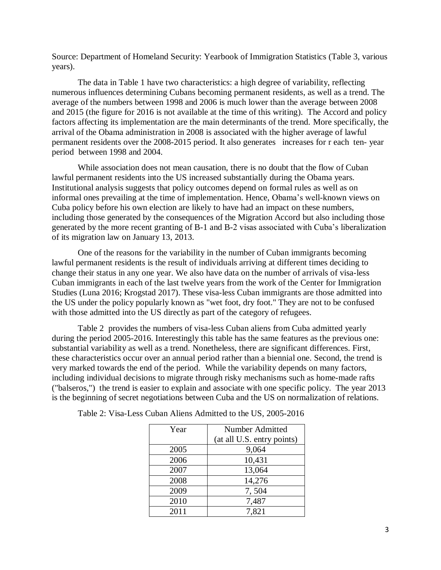Source: Department of Homeland Security: Yearbook of Immigration Statistics (Table 3, various years).

The data in Table 1 have two characteristics: a high degree of variability, reflecting numerous influences determining Cubans becoming permanent residents, as well as a trend. The average of the numbers between 1998 and 2006 is much lower than the average between 2008 and 2015 (the figure for 2016 is not available at the time of this writing). The Accord and policy factors affecting its implementation are the main determinants of the trend. More specifically, the arrival of the Obama administration in 2008 is associated with the higher average of lawful permanent residents over the 2008-2015 period. It also generates increases for r each ten- year period between 1998 and 2004.

While association does not mean causation, there is no doubt that the flow of Cuban lawful permanent residents into the US increased substantially during the Obama years. Institutional analysis suggests that policy outcomes depend on formal rules as well as on informal ones prevailing at the time of implementation. Hence, Obama's well-known views on Cuba policy before his own election are likely to have had an impact on these numbers, including those generated by the consequences of the Migration Accord but also including those generated by the more recent granting of B-1 and B-2 visas associated with Cuba's liberalization of its migration law on January 13, 2013.

One of the reasons for the variability in the number of Cuban immigrants becoming lawful permanent residents is the result of individuals arriving at different times deciding to change their status in any one year. We also have data on the number of arrivals of visa-less Cuban immigrants in each of the last twelve years from the work of the Center for Immigration Studies (Luna 2016; Krogstad 2017). These visa-less Cuban immigrants are those admitted into the US under the policy popularly known as "wet foot, dry foot." They are not to be confused with those admitted into the US directly as part of the category of refugees.

Table 2 provides the numbers of visa-less Cuban aliens from Cuba admitted yearly during the period 2005-2016. Interestingly this table has the same features as the previous one: substantial variability as well as a trend. Nonetheless, there are significant differences. First, these characteristics occur over an annual period rather than a biennial one. Second, the trend is very marked towards the end of the period. While the variability depends on many factors, including individual decisions to migrate through risky mechanisms such as home-made rafts ("balseros,") the trend is easier to explain and associate with one specific policy. The year 2013 is the beginning of secret negotiations between Cuba and the US on normalization of relations.

| Year | Number Admitted            |
|------|----------------------------|
|      | (at all U.S. entry points) |
| 2005 | 9,064                      |
| 2006 | 10,431                     |
| 2007 | 13,064                     |
| 2008 | 14,276                     |
| 2009 | 7,504                      |
| 2010 | 7,487                      |
| 2011 | 7,821                      |

Table 2: Visa-Less Cuban Aliens Admitted to the US, 2005-2016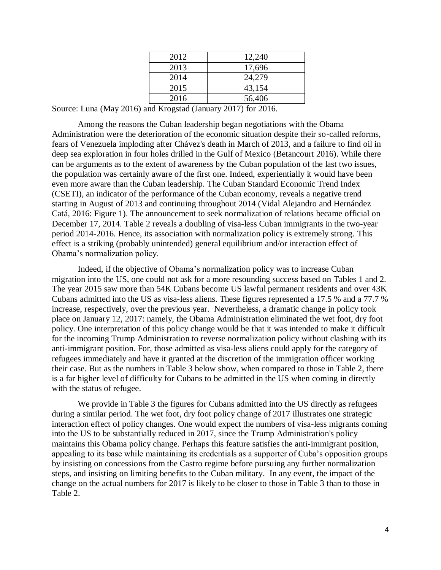| 2012 | 12,240 |
|------|--------|
| 2013 | 17,696 |
| 2014 | 24,279 |
| 2015 | 43,154 |
| 2016 | 56,406 |

Source: Luna (May 2016) and Krogstad (January 2017) for 2016.

Among the reasons the Cuban leadership began negotiations with the Obama Administration were the deterioration of the economic situation despite their so-called reforms, fears of Venezuela imploding after Chávez's death in March of 2013, and a failure to find oil in deep sea exploration in four holes drilled in the Gulf of Mexico (Betancourt 2016). While there can be arguments as to the extent of awareness by the Cuban population of the last two issues, the population was certainly aware of the first one. Indeed, experientially it would have been even more aware than the Cuban leadership. The Cuban Standard Economic Trend Index (CSETI), an indicator of the performance of the Cuban economy, reveals a negative trend starting in August of 2013 and continuing throughout 2014 (Vidal Alejandro and Hernández Catá, 2016: Figure 1). The announcement to seek normalization of relations became official on December 17, 2014. Table 2 reveals a doubling of visa-less Cuban immigrants in the two-year period 2014-2016. Hence, its association with normalization policy is extremely strong. This effect is a striking (probably unintended) general equilibrium and/or interaction effect of Obama's normalization policy.

Indeed, if the objective of Obama's normalization policy was to increase Cuban migration into the US, one could not ask for a more resounding success based on Tables 1 and 2. The year 2015 saw more than 54K Cubans become US lawful permanent residents and over 43K Cubans admitted into the US as visa-less aliens. These figures represented a 17.5 % and a 77.7 % increase, respectively, over the previous year. Nevertheless, a dramatic change in policy took place on January 12, 2017: namely, the Obama Administration eliminated the wet foot, dry foot policy. One interpretation of this policy change would be that it was intended to make it difficult for the incoming Trump Administration to reverse normalization policy without clashing with its anti-immigrant position. For, those admitted as visa-less aliens could apply for the category of refugees immediately and have it granted at the discretion of the immigration officer working their case. But as the numbers in Table 3 below show, when compared to those in Table 2, there is a far higher level of difficulty for Cubans to be admitted in the US when coming in directly with the status of refugee.

We provide in Table 3 the figures for Cubans admitted into the US directly as refugees during a similar period. The wet foot, dry foot policy change of 2017 illustrates one strategic interaction effect of policy changes. One would expect the numbers of visa-less migrants coming into the US to be substantially reduced in 2017, since the Trump Administration's policy maintains this Obama policy change. Perhaps this feature satisfies the anti-immigrant position, appealing to its base while maintaining its credentials as a supporter of Cuba's opposition groups by insisting on concessions from the Castro regime before pursuing any further normalization steps, and insisting on limiting benefits to the Cuban military. In any event, the impact of the change on the actual numbers for 2017 is likely to be closer to those in Table 3 than to those in Table 2.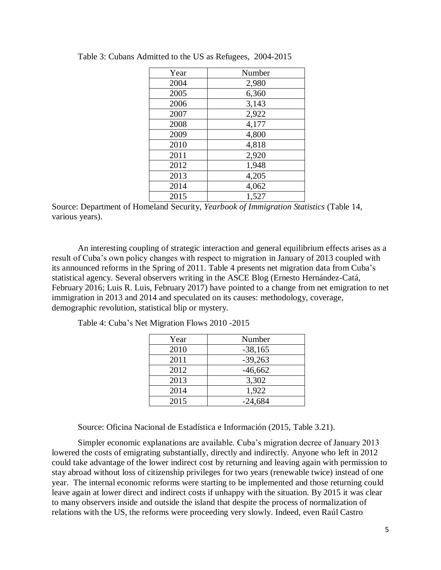| Year | Number |
|------|--------|
| 2004 | 2,980  |
| 2005 | 6,360  |
| 2006 | 3,143  |
| 2007 | 2,922  |
| 2008 | 4,177  |
| 2009 | 4,800  |
| 2010 | 4,818  |
| 2011 | 2,920  |
| 2012 | 1,948  |
| 2013 | 4,205  |
| 2014 | 4,062  |
| 2015 | 1,527  |

Table 3: Cubans Admitted to the US as Refugees, 2004-2015

Source: Department of Homeland Security, *Yearbook of Immigration Statistics* (Table 14, various years).

An interesting coupling of strategic interaction and general equilibrium effects arises as a result of Cuba's own policy changes with respect to migration in January of 2013 coupled with its announced reforms in the Spring of 2011. Table 4 presents net migration data from Cuba's statistical agency. Several observers writing in the ASCE Blog (Ernesto Hernández-Catá, February 2016; Luis R. Luis, February 2017) have pointed to a change from net emigration to net immigration in 2013 and 2014 and speculated on its causes: methodology, coverage, demographic revolution, statistical blip or mystery.

| Year | Number    |
|------|-----------|
| 2010 | $-38,165$ |
| 2011 | $-39,263$ |
| 2012 | $-46,662$ |
| 2013 | 3,302     |
| 2014 | 1,922     |
| 2015 | $-24,684$ |

Source: Oficina Nacional de Estadística e Información (2015, Table 3.21).

Simpler economic explanations are available. Cuba's migration decree of January 2013 lowered the costs of emigrating substantially, directly and indirectly. Anyone who left in 2012 could take advantage of the lower indirect cost by returning and leaving again with permission to stay abroad without loss of citizenship privileges for two years (renewable twice) instead of one year. The internal economic reforms were starting to be implemented and those returning could leave again at lower direct and indirect costs if unhappy with the situation. By 2015 it was clear to many observers inside and outside the island that despite the process of normalization of relations with the US, the reforms were proceeding very slowly. Indeed, even Raúl Castro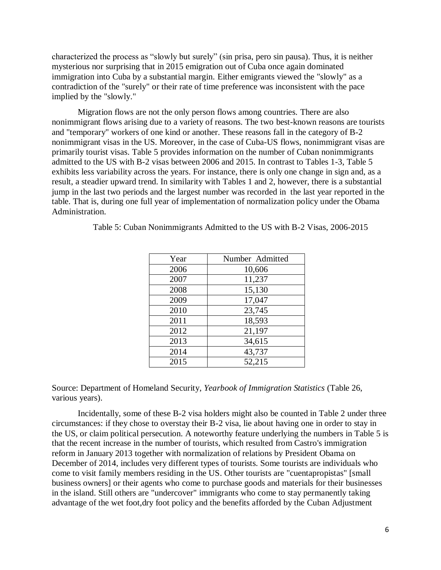characterized the process as "slowly but surely" (sin prisa, pero sin pausa). Thus, it is neither mysterious nor surprising that in 2015 emigration out of Cuba once again dominated immigration into Cuba by a substantial margin. Either emigrants viewed the "slowly" as a contradiction of the "surely" or their rate of time preference was inconsistent with the pace implied by the "slowly."

Migration flows are not the only person flows among countries. There are also nonimmigrant flows arising due to a variety of reasons. The two best-known reasons are tourists and "temporary" workers of one kind or another. These reasons fall in the category of B-2 nonimmigrant visas in the US. Moreover, in the case of Cuba-US flows, nonimmigrant visas are primarily tourist visas. Table 5 provides information on the number of Cuban nonimmigrants admitted to the US with B-2 visas between 2006 and 2015. In contrast to Tables 1-3, Table 5 exhibits less variability across the years. For instance, there is only one change in sign and, as a result, a steadier upward trend. In similarity with Tables 1 and 2, however, there is a substantial jump in the last two periods and the largest number was recorded in the last year reported in the table. That is, during one full year of implementation of normalization policy under the Obama Administration.

| Year | Number Admitted |
|------|-----------------|
| 2006 | 10,606          |
| 2007 | 11,237          |
| 2008 | 15,130          |
| 2009 | 17,047          |
| 2010 | 23,745          |
| 2011 | 18,593          |
| 2012 | 21,197          |
| 2013 | 34,615          |
| 2014 | 43,737          |
| 2015 | 52,215          |

Table 5: Cuban Nonimmigrants Admitted to the US with B-2 Visas, 2006-2015

Source: Department of Homeland Security, *Yearbook of Immigration Statistics* (Table 26, various years).

Incidentally, some of these B-2 visa holders might also be counted in Table 2 under three circumstances: if they chose to overstay their B-2 visa, lie about having one in order to stay in the US, or claim political persecution. A noteworthy feature underlying the numbers in Table 5 is that the recent increase in the number of tourists, which resulted from Castro's immigration reform in January 2013 together with normalization of relations by President Obama on December of 2014, includes very different types of tourists. Some tourists are individuals who come to visit family members residing in the US. Other tourists are "cuentapropistas" [small business owners] or their agents who come to purchase goods and materials for their businesses in the island. Still others are "undercover" immigrants who come to stay permanently taking advantage of the wet foot,dry foot policy and the benefits afforded by the Cuban Adjustment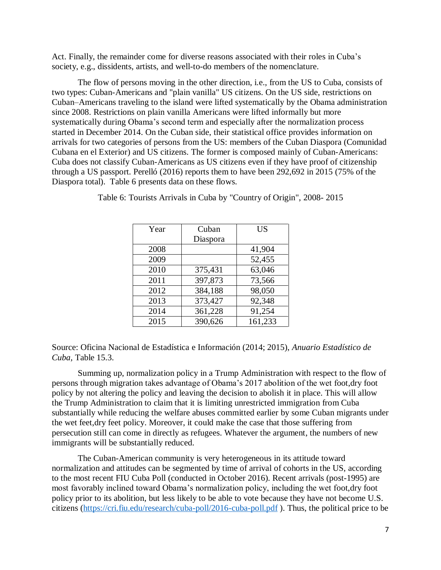Act. Finally, the remainder come for diverse reasons associated with their roles in Cuba's society, e.g., dissidents, artists, and well-to-do members of the nomenclature.

The flow of persons moving in the other direction, i.e., from the US to Cuba, consists of two types: Cuban-Americans and "plain vanilla" US citizens. On the US side, restrictions on Cuban–Americans traveling to the island were lifted systematically by the Obama administration since 2008. Restrictions on plain vanilla Americans were lifted informally but more systematically during Obama's second term and especially after the normalization process started in December 2014. On the Cuban side, their statistical office provides information on arrivals for two categories of persons from the US: members of the Cuban Diaspora (Comunidad Cubana en el Exterior) and US citizens. The former is composed mainly of Cuban-Americans: Cuba does not classify Cuban-Americans as US citizens even if they have proof of citizenship through a US passport. Perelló (2016) reports them to have been 292,692 in 2015 (75% of the Diaspora total). Table 6 presents data on these flows.

| Year | Cuban    | US      |
|------|----------|---------|
|      | Diaspora |         |
| 2008 |          | 41,904  |
| 2009 |          | 52,455  |
| 2010 | 375,431  | 63,046  |
| 2011 | 397,873  | 73,566  |
| 2012 | 384,188  | 98,050  |
| 2013 | 373,427  | 92,348  |
| 2014 | 361,228  | 91,254  |
| 2015 | 390,626  | 161,233 |

Table 6: Tourists Arrivals in Cuba by "Country of Origin", 2008- 2015

Source: Oficina Nacional de Estadística e Información (2014; 2015), *Anuario Estadístico de Cuba,* Table 15.3.

Summing up, normalization policy in a Trump Administration with respect to the flow of persons through migration takes advantage of Obama's 2017 abolition of the wet foot,dry foot policy by not altering the policy and leaving the decision to abolish it in place. This will allow the Trump Administration to claim that it is limiting unrestricted immigration from Cuba substantially while reducing the welfare abuses committed earlier by some Cuban migrants under the wet feet,dry feet policy. Moreover, it could make the case that those suffering from persecution still can come in directly as refugees. Whatever the argument, the numbers of new immigrants will be substantially reduced.

The Cuban-American community is very heterogeneous in its attitude toward normalization and attitudes can be segmented by time of arrival of cohorts in the US, according to the most recent FIU Cuba Poll (conducted in October 2016). Recent arrivals (post-1995) are most favorably inclined toward Obama's normalization policy, including the wet foot,dry foot policy prior to its abolition, but less likely to be able to vote because they have not become U.S. citizens [\(https://cri.fiu.edu/research/cuba-poll/2016-cuba-poll.pdf](https://cri.fiu.edu/research/cuba-poll/2016-cuba-poll.pdf) ). Thus, the political price to be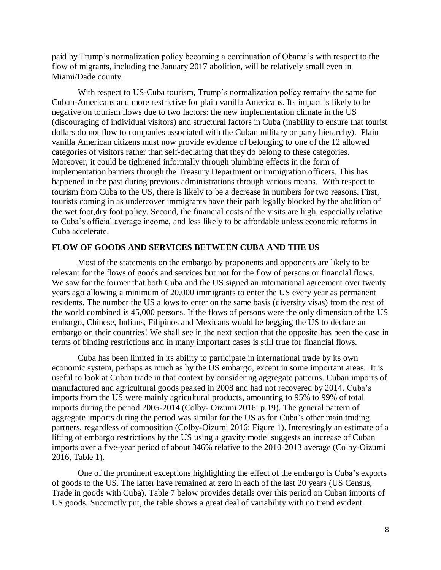paid by Trump's normalization policy becoming a continuation of Obama's with respect to the flow of migrants, including the January 2017 abolition, will be relatively small even in Miami/Dade county.

With respect to US-Cuba tourism, Trump's normalization policy remains the same for Cuban-Americans and more restrictive for plain vanilla Americans. Its impact is likely to be negative on tourism flows due to two factors: the new implementation climate in the US (discouraging of individual visitors) and structural factors in Cuba (inability to ensure that tourist dollars do not flow to companies associated with the Cuban military or party hierarchy). Plain vanilla American citizens must now provide evidence of belonging to one of the 12 allowed categories of visitors rather than self-declaring that they do belong to these categories. Moreover, it could be tightened informally through plumbing effects in the form of implementation barriers through the Treasury Department or immigration officers. This has happened in the past during previous administrations through various means. With respect to tourism from Cuba to the US, there is likely to be a decrease in numbers for two reasons. First, tourists coming in as undercover immigrants have their path legally blocked by the abolition of the wet foot,dry foot policy. Second, the financial costs of the visits are high, especially relative to Cuba's official average income, and less likely to be affordable unless economic reforms in Cuba accelerate.

#### **FLOW OF GOODS AND SERVICES BETWEEN CUBA AND THE US**

Most of the statements on the embargo by proponents and opponents are likely to be relevant for the flows of goods and services but not for the flow of persons or financial flows. We saw for the former that both Cuba and the US signed an international agreement over twenty years ago allowing a minimum of 20,000 immigrants to enter the US every year as permanent residents. The number the US allows to enter on the same basis (diversity visas) from the rest of the world combined is 45,000 persons. If the flows of persons were the only dimension of the US embargo, Chinese, Indians, Filipinos and Mexicans would be begging the US to declare an embargo on their countries! We shall see in the next section that the opposite has been the case in terms of binding restrictions and in many important cases is still true for financial flows.

Cuba has been limited in its ability to participate in international trade by its own economic system, perhaps as much as by the US embargo, except in some important areas. It is useful to look at Cuban trade in that context by considering aggregate patterns. Cuban imports of manufactured and agricultural goods peaked in 2008 and had not recovered by 2014. Cuba's imports from the US were mainly agricultural products, amounting to 95% to 99% of total imports during the period 2005-2014 (Colby- Oizumi 2016: p.19). The general pattern of aggregate imports during the period was similar for the US as for Cuba's other main trading partners, regardless of composition (Colby-Oizumi 2016: Figure 1). Interestingly an estimate of a lifting of embargo restrictions by the US using a gravity model suggests an increase of Cuban imports over a five-year period of about 346% relative to the 2010-2013 average (Colby-Oizumi 2016, Table 1).

One of the prominent exceptions highlighting the effect of the embargo is Cuba's exports of goods to the US. The latter have remained at zero in each of the last 20 years (US Census, Trade in goods with Cuba). Table 7 below provides details over this period on Cuban imports of US goods. Succinctly put, the table shows a great deal of variability with no trend evident.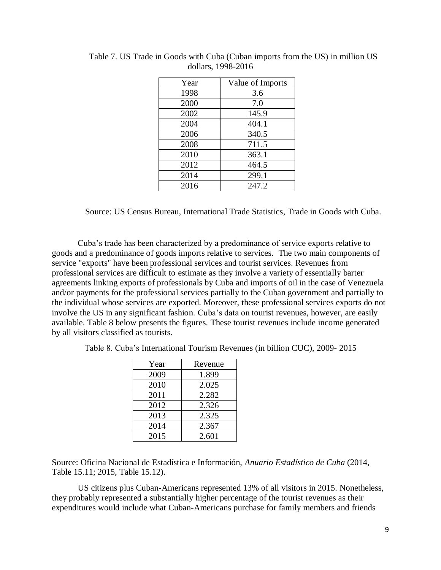| Year | Value of Imports |
|------|------------------|
| 1998 | 3.6              |
| 2000 | 7.0              |
| 2002 | 145.9            |
| 2004 | 404.1            |
| 2006 | 340.5            |
| 2008 | 711.5            |
| 2010 | 363.1            |
| 2012 | 464.5            |
| 2014 | 299.1            |
| 2016 | 247.2            |

Table 7. US Trade in Goods with Cuba (Cuban imports from the US) in million US dollars, 1998-2016

Source: US Census Bureau, International Trade Statistics, Trade in Goods with Cuba.

Cuba's trade has been characterized by a predominance of service exports relative to goods and a predominance of goods imports relative to services. The two main components of service "exports" have been professional services and tourist services. Revenues from professional services are difficult to estimate as they involve a variety of essentially barter agreements linking exports of professionals by Cuba and imports of oil in the case of Venezuela and/or payments for the professional services partially to the Cuban government and partially to the individual whose services are exported. Moreover, these professional services exports do not involve the US in any significant fashion. Cuba's data on tourist revenues, however, are easily available. Table 8 below presents the figures. These tourist revenues include income generated by all visitors classified as tourists.

| Year | Revenue |
|------|---------|
| 2009 | 1.899   |
| 2010 | 2.025   |
| 2011 | 2.282   |
| 2012 | 2.326   |
| 2013 | 2.325   |
| 2014 | 2.367   |
| 2015 | 2.601   |

Table 8. Cuba's International Tourism Revenues (in billion CUC), 2009- 2015

Source: Oficina Nacional de Estadística e Información, *Anuario Estadístico de Cuba* (2014, Table 15.11; 2015, Table 15.12).

US citizens plus Cuban-Americans represented 13% of all visitors in 2015. Nonetheless, they probably represented a substantially higher percentage of the tourist revenues as their expenditures would include what Cuban-Americans purchase for family members and friends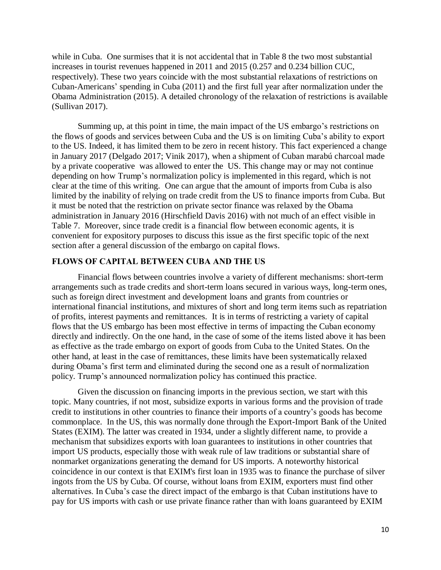while in Cuba. One surmises that it is not accidental that in Table 8 the two most substantial increases in tourist revenues happened in 2011 and 2015 (0.257 and 0.234 billion CUC, respectively). These two years coincide with the most substantial relaxations of restrictions on Cuban-Americans' spending in Cuba (2011) and the first full year after normalization under the Obama Administration (2015). A detailed chronology of the relaxation of restrictions is available (Sullivan 2017).

Summing up, at this point in time, the main impact of the US embargo's restrictions on the flows of goods and services between Cuba and the US is on limiting Cuba's ability to export to the US. Indeed, it has limited them to be zero in recent history. This fact experienced a change in January 2017 (Delgado 2017; Vinik 2017), when a shipment of Cuban marabú charcoal made by a private cooperative was allowed to enter the US. This change may or may not continue depending on how Trump's normalization policy is implemented in this regard, which is not clear at the time of this writing. One can argue that the amount of imports from Cuba is also limited by the inability of relying on trade credit from the US to finance imports from Cuba. But it must be noted that the restriction on private sector finance was relaxed by the Obama administration in January 2016 (Hirschfield Davis 2016) with not much of an effect visible in Table 7. Moreover, since trade credit is a financial flow between economic agents, it is convenient for expository purposes to discuss this issue as the first specific topic of the next section after a general discussion of the embargo on capital flows.

### **FLOWS OF CAPITAL BETWEEN CUBA AND THE US**

Financial flows between countries involve a variety of different mechanisms: short-term arrangements such as trade credits and short-term loans secured in various ways, long-term ones, such as foreign direct investment and development loans and grants from countries or international financial institutions, and mixtures of short and long term items such as repatriation of profits, interest payments and remittances. It is in terms of restricting a variety of capital flows that the US embargo has been most effective in terms of impacting the Cuban economy directly and indirectly. On the one hand, in the case of some of the items listed above it has been as effective as the trade embargo on export of goods from Cuba to the United States. On the other hand, at least in the case of remittances, these limits have been systematically relaxed during Obama's first term and eliminated during the second one as a result of normalization policy. Trump's announced normalization policy has continued this practice.

Given the discussion on financing imports in the previous section, we start with this topic. Many countries, if not most, subsidize exports in various forms and the provision of trade credit to institutions in other countries to finance their imports of a country's goods has become commonplace. In the US, this was normally done through the Export-Import Bank of the United States (EXIM). The latter was created in 1934, under a slightly different name, to provide a mechanism that subsidizes exports with loan guarantees to institutions in other countries that import US products, especially those with weak rule of law traditions or substantial share of nonmarket organizations generating the demand for US imports. A noteworthy historical coincidence in our context is that EXIM's first loan in 1935 was to finance the purchase of silver ingots from the US by Cuba. Of course, without loans from EXIM, exporters must find other alternatives. In Cuba's case the direct impact of the embargo is that Cuban institutions have to pay for US imports with cash or use private finance rather than with loans guaranteed by EXIM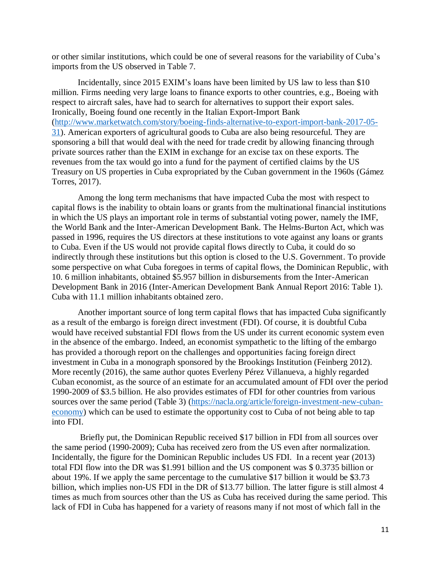or other similar institutions, which could be one of several reasons for the variability of Cuba's imports from the US observed in Table 7.

Incidentally, since 2015 EXIM's loans have been limited by US law to less than \$10 million. Firms needing very large loans to finance exports to other countries, e.g., Boeing with respect to aircraft sales, have had to search for alternatives to support their export sales. Ironically, Boeing found one recently in the Italian Export-Import Bank [\(http://www.marketwatch.com/story/boeing-finds-alternative-to-export-import-bank-2017-05-](http://www.marketwatch.com/story/boeing-finds-alternative-to-export-import-bank-2017-05-31) [31\)](http://www.marketwatch.com/story/boeing-finds-alternative-to-export-import-bank-2017-05-31). American exporters of agricultural goods to Cuba are also being resourceful. They are sponsoring a bill that would deal with the need for trade credit by allowing financing through private sources rather than the EXIM in exchange for an excise tax on these exports. The revenues from the tax would go into a fund for the payment of certified claims by the US Treasury on US properties in Cuba expropriated by the Cuban government in the 1960s (Gámez Torres, 2017).

Among the long term mechanisms that have impacted Cuba the most with respect to capital flows is the inability to obtain loans or grants from the multinational financial institutions in which the US plays an important role in terms of substantial voting power, namely the IMF, the World Bank and the Inter-American Development Bank. The Helms-Burton Act, which was passed in 1996, requires the US directors at these institutions to vote against any loans or grants to Cuba. Even if the US would not provide capital flows directly to Cuba, it could do so indirectly through these institutions but this option is closed to the U.S. Government. To provide some perspective on what Cuba foregoes in terms of capital flows, the Dominican Republic, with 10. 6 million inhabitants, obtained \$5.957 billion in disbursements from the Inter-American Development Bank in 2016 (Inter-American Development Bank Annual Report 2016: Table 1). Cuba with 11.1 million inhabitants obtained zero.

Another important source of long term capital flows that has impacted Cuba significantly as a result of the embargo is foreign direct investment (FDI). Of course, it is doubtful Cuba would have received substantial FDI flows from the US under its current economic system even in the absence of the embargo. Indeed, an economist sympathetic to the lifting of the embargo has provided a thorough report on the challenges and opportunities facing foreign direct investment in Cuba in a monograph sponsored by the Brookings Institution (Feinberg 2012). More recently (2016), the same author quotes Everleny Pérez Villanueva, a highly regarded Cuban economist, as the source of an estimate for an accumulated amount of FDI over the period 1990-2009 of \$3.5 billion. He also provides estimates of FDI for other countries from various sources over the same period (Table 3) [\(https://nacla.org/article/foreign-investment-new-cuban](https://nacla.org/article/foreign-investment-new-cuban-economy)[economy\)](https://nacla.org/article/foreign-investment-new-cuban-economy) which can be used to estimate the opportunity cost to Cuba of not being able to tap into FDI.

Briefly put, the Dominican Republic received \$17 billion in FDI from all sources over the same period (1990-2009); Cuba has received zero from the US even after normalization. Incidentally, the figure for the Dominican Republic includes US FDI. In a recent year (2013) total FDI flow into the DR was \$1.991 billion and the US component was \$ 0.3735 billion or about 19%. If we apply the same percentage to the cumulative \$17 billion it would be \$3.73 billion, which implies non-US FDI in the DR of \$13.77 billion. The latter figure is still almost 4 times as much from sources other than the US as Cuba has received during the same period. This lack of FDI in Cuba has happened for a variety of reasons many if not most of which fall in the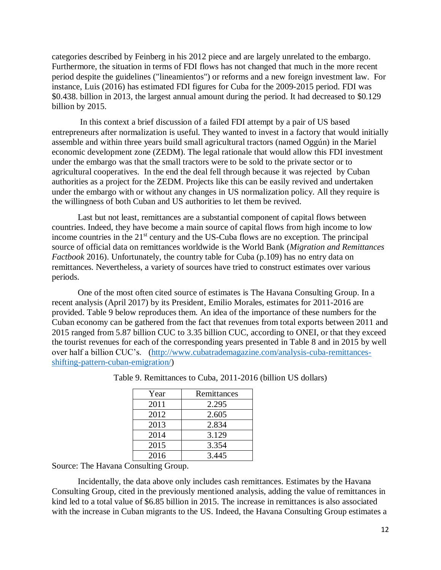categories described by Feinberg in his 2012 piece and are largely unrelated to the embargo. Furthermore, the situation in terms of FDI flows has not changed that much in the more recent period despite the guidelines ("lineamientos") or reforms and a new foreign investment law. For instance, Luis (2016) has estimated FDI figures for Cuba for the 2009-2015 period. FDI was \$0.438. billion in 2013, the largest annual amount during the period. It had decreased to \$0.129 billion by 2015.

In this context a brief discussion of a failed FDI attempt by a pair of US based entrepreneurs after normalization is useful. They wanted to invest in a factory that would initially assemble and within three years build small agricultural tractors (named Oggún) in the Mariel economic development zone (ZEDM). The legal rationale that would allow this FDI investment under the embargo was that the small tractors were to be sold to the private sector or to agricultural cooperatives. In the end the deal fell through because it was rejected by Cuban authorities as a project for the ZEDM. Projects like this can be easily revived and undertaken under the embargo with or without any changes in US normalization policy. All they require is the willingness of both Cuban and US authorities to let them be revived.

Last but not least, remittances are a substantial component of capital flows between countries. Indeed, they have become a main source of capital flows from high income to low income countries in the 21<sup>st</sup> century and the US-Cuba flows are no exception. The principal source of official data on remittances worldwide is the World Bank (*Migration and Remittances Factbook* 2016). Unfortunately, the country table for Cuba (p.109) has no entry data on remittances. Nevertheless, a variety of sources have tried to construct estimates over various periods.

One of the most often cited source of estimates is The Havana Consulting Group. In a recent analysis (April 2017) by its President, Emilio Morales, estimates for 2011-2016 are provided. Table 9 below reproduces them. An idea of the importance of these numbers for the Cuban economy can be gathered from the fact that revenues from total exports between 2011 and 2015 ranged from 5.87 billion CUC to 3.35 billion CUC, according to ONEI, or that they exceed the tourist revenues for each of the corresponding years presented in Table 8 and in 2015 by well over half a billion CUC's. [\(http://www.cubatrademagazine.com/analysis-cuba-remittances](http://www.cubatrademagazine.com/analysis-cuba-remittances-shifting-pattern-cuban-emigration/)[shifting-pattern-cuban-emigration/\)](http://www.cubatrademagazine.com/analysis-cuba-remittances-shifting-pattern-cuban-emigration/)

| Year | Remittances |
|------|-------------|
| 2011 | 2.295       |
| 2012 | 2.605       |
| 2013 | 2.834       |
| 2014 | 3.129       |
| 2015 | 3.354       |
| 2016 | 3.445       |

Table 9. Remittances to Cuba, 2011-2016 (billion US dollars)

Source: The Havana Consulting Group.

Incidentally, the data above only includes cash remittances. Estimates by the Havana Consulting Group, cited in the previously mentioned analysis, adding the value of remittances in kind led to a total value of \$6.85 billion in 2015. The increase in remittances is also associated with the increase in Cuban migrants to the US. Indeed, the Havana Consulting Group estimates a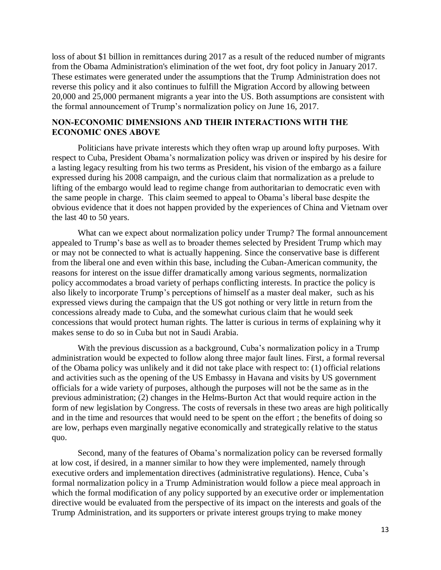loss of about \$1 billion in remittances during 2017 as a result of the reduced number of migrants from the Obama Administration's elimination of the wet foot, dry foot policy in January 2017. These estimates were generated under the assumptions that the Trump Administration does not reverse this policy and it also continues to fulfill the Migration Accord by allowing between 20,000 and 25,000 permanent migrants a year into the US. Both assumptions are consistent with the formal announcement of Trump's normalization policy on June 16, 2017.

### **NON-ECONOMIC DIMENSIONS AND THEIR INTERACTIONS WITH THE ECONOMIC ONES ABOVE**

Politicians have private interests which they often wrap up around lofty purposes. With respect to Cuba, President Obama's normalization policy was driven or inspired by his desire for a lasting legacy resulting from his two terms as President, his vision of the embargo as a failure expressed during his 2008 campaign, and the curious claim that normalization as a prelude to lifting of the embargo would lead to regime change from authoritarian to democratic even with the same people in charge. This claim seemed to appeal to Obama's liberal base despite the obvious evidence that it does not happen provided by the experiences of China and Vietnam over the last 40 to 50 years.

What can we expect about normalization policy under Trump? The formal announcement appealed to Trump's base as well as to broader themes selected by President Trump which may or may not be connected to what is actually happening. Since the conservative base is different from the liberal one and even within this base, including the Cuban-American community, the reasons for interest on the issue differ dramatically among various segments, normalization policy accommodates a broad variety of perhaps conflicting interests. In practice the policy is also likely to incorporate Trump's perceptions of himself as a master deal maker, such as his expressed views during the campaign that the US got nothing or very little in return from the concessions already made to Cuba, and the somewhat curious claim that he would seek concessions that would protect human rights. The latter is curious in terms of explaining why it makes sense to do so in Cuba but not in Saudi Arabia.

With the previous discussion as a background, Cuba's normalization policy in a Trump administration would be expected to follow along three major fault lines. First, a formal reversal of the Obama policy was unlikely and it did not take place with respect to: (1) official relations and activities such as the opening of the US Embassy in Havana and visits by US government officials for a wide variety of purposes, although the purposes will not be the same as in the previous administration; (2) changes in the Helms-Burton Act that would require action in the form of new legislation by Congress. The costs of reversals in these two areas are high politically and in the time and resources that would need to be spent on the effort ; the benefits of doing so are low, perhaps even marginally negative economically and strategically relative to the status quo.

Second, many of the features of Obama's normalization policy can be reversed formally at low cost, if desired, in a manner similar to how they were implemented, namely through executive orders and implementation directives (administrative regulations). Hence, Cuba's formal normalization policy in a Trump Administration would follow a piece meal approach in which the formal modification of any policy supported by an executive order or implementation directive would be evaluated from the perspective of its impact on the interests and goals of the Trump Administration, and its supporters or private interest groups trying to make money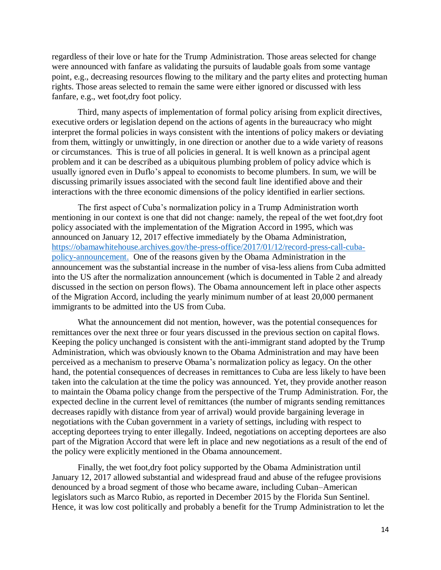regardless of their love or hate for the Trump Administration. Those areas selected for change were announced with fanfare as validating the pursuits of laudable goals from some vantage point, e.g., decreasing resources flowing to the military and the party elites and protecting human rights. Those areas selected to remain the same were either ignored or discussed with less fanfare, e.g., wet foot,dry foot policy.

Third, many aspects of implementation of formal policy arising from explicit directives, executive orders or legislation depend on the actions of agents in the bureaucracy who might interpret the formal policies in ways consistent with the intentions of policy makers or deviating from them, wittingly or unwittingly, in one direction or another due to a wide variety of reasons or circumstances. This is true of all policies in general. It is well known as a principal agent problem and it can be described as a ubiquitous plumbing problem of policy advice which is usually ignored even in Duflo's appeal to economists to become plumbers. In sum, we will be discussing primarily issues associated with the second fault line identified above and their interactions with the three economic dimensions of the policy identified in earlier sections.

The first aspect of Cuba's normalization policy in a Trump Administration worth mentioning in our context is one that did not change: namely, the repeal of the wet foot,dry foot policy associated with the implementation of the Migration Accord in 1995, which was announced on January 12, 2017 effective immediately by the Obama Administration, [https://obamawhitehouse.archives.gov/the-press-office/2017/01/12/record-press-call-cuba](https://obamawhitehouse.archives.gov/the-press-office/2017/01/12/record-press-call-cuba-policy-announcement)[policy-announcement.](https://obamawhitehouse.archives.gov/the-press-office/2017/01/12/record-press-call-cuba-policy-announcement) One of the reasons given by the Obama Administration in the announcement was the substantial increase in the number of visa-less aliens from Cuba admitted into the US after the normalization announcement (which is documented in Table 2 and already discussed in the section on person flows). The Obama announcement left in place other aspects of the Migration Accord, including the yearly minimum number of at least 20,000 permanent immigrants to be admitted into the US from Cuba.

What the announcement did not mention, however, was the potential consequences for remittances over the next three or four years discussed in the previous section on capital flows. Keeping the policy unchanged is consistent with the anti-immigrant stand adopted by the Trump Administration, which was obviously known to the Obama Administration and may have been perceived as a mechanism to preserve Obama's normalization policy as legacy. On the other hand, the potential consequences of decreases in remittances to Cuba are less likely to have been taken into the calculation at the time the policy was announced. Yet, they provide another reason to maintain the Obama policy change from the perspective of the Trump Administration. For, the expected decline in the current level of remittances (the number of migrants sending remittances decreases rapidly with distance from year of arrival) would provide bargaining leverage in negotiations with the Cuban government in a variety of settings, including with respect to accepting deportees trying to enter illegally. Indeed, negotiations on accepting deportees are also part of the Migration Accord that were left in place and new negotiations as a result of the end of the policy were explicitly mentioned in the Obama announcement.

Finally, the wet foot,dry foot policy supported by the Obama Administration until January 12, 2017 allowed substantial and widespread fraud and abuse of the refugee provisions denounced by a broad segment of those who became aware, including Cuban–American legislators such as Marco Rubio, as reported in December 2015 by the Florida Sun Sentinel. Hence, it was low cost politically and probably a benefit for the Trump Administration to let the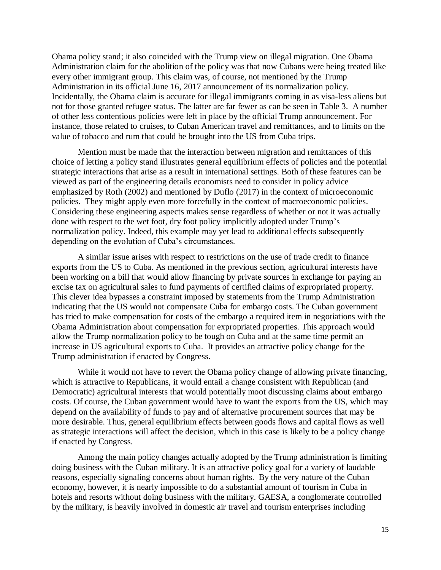Obama policy stand; it also coincided with the Trump view on illegal migration. One Obama Administration claim for the abolition of the policy was that now Cubans were being treated like every other immigrant group. This claim was, of course, not mentioned by the Trump Administration in its official June 16, 2017 announcement of its normalization policy. Incidentally, the Obama claim is accurate for illegal immigrants coming in as visa-less aliens but not for those granted refugee status. The latter are far fewer as can be seen in Table 3. A number of other less contentious policies were left in place by the official Trump announcement. For instance, those related to cruises, to Cuban American travel and remittances, and to limits on the value of tobacco and rum that could be brought into the US from Cuba trips.

Mention must be made that the interaction between migration and remittances of this choice of letting a policy stand illustrates general equilibrium effects of policies and the potential strategic interactions that arise as a result in international settings. Both of these features can be viewed as part of the engineering details economists need to consider in policy advice emphasized by Roth (2002) and mentioned by Duflo (2017) in the context of microeconomic policies. They might apply even more forcefully in the context of macroeconomic policies. Considering these engineering aspects makes sense regardless of whether or not it was actually done with respect to the wet foot, dry foot policy implicitly adopted under Trump's normalization policy. Indeed, this example may yet lead to additional effects subsequently depending on the evolution of Cuba's circumstances.

A similar issue arises with respect to restrictions on the use of trade credit to finance exports from the US to Cuba. As mentioned in the previous section, agricultural interests have been working on a bill that would allow financing by private sources in exchange for paying an excise tax on agricultural sales to fund payments of certified claims of expropriated property. This clever idea bypasses a constraint imposed by statements from the Trump Administration indicating that the US would not compensate Cuba for embargo costs. The Cuban government has tried to make compensation for costs of the embargo a required item in negotiations with the Obama Administration about compensation for expropriated properties. This approach would allow the Trump normalization policy to be tough on Cuba and at the same time permit an increase in US agricultural exports to Cuba. It provides an attractive policy change for the Trump administration if enacted by Congress.

While it would not have to revert the Obama policy change of allowing private financing, which is attractive to Republicans, it would entail a change consistent with Republican (and Democratic) agricultural interests that would potentially moot discussing claims about embargo costs. Of course, the Cuban government would have to want the exports from the US, which may depend on the availability of funds to pay and of alternative procurement sources that may be more desirable. Thus, general equilibrium effects between goods flows and capital flows as well as strategic interactions will affect the decision, which in this case is likely to be a policy change if enacted by Congress.

Among the main policy changes actually adopted by the Trump administration is limiting doing business with the Cuban military. It is an attractive policy goal for a variety of laudable reasons, especially signaling concerns about human rights. By the very nature of the Cuban economy, however, it is nearly impossible to do a substantial amount of tourism in Cuba in hotels and resorts without doing business with the military. GAESA, a conglomerate controlled by the military, is heavily involved in domestic air travel and tourism enterprises including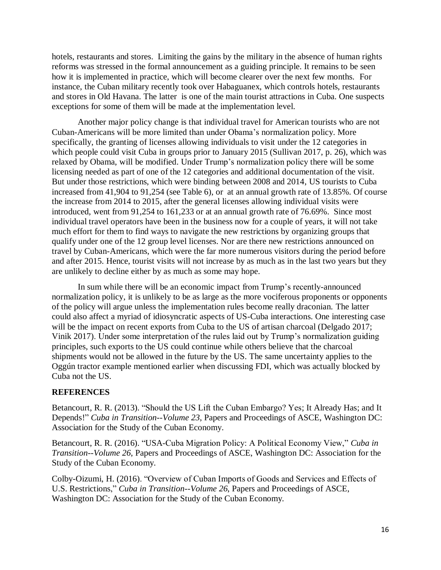hotels, restaurants and stores. Limiting the gains by the military in the absence of human rights reforms was stressed in the formal announcement as a guiding principle. It remains to be seen how it is implemented in practice, which will become clearer over the next few months. For instance, the Cuban military recently took over Habaguanex, which controls hotels, restaurants and stores in Old Havana. The latter is one of the main tourist attractions in Cuba. One suspects exceptions for some of them will be made at the implementation level.

Another major policy change is that individual travel for American tourists who are not Cuban-Americans will be more limited than under Obama's normalization policy. More specifically, the granting of licenses allowing individuals to visit under the 12 categories in which people could visit Cuba in groups prior to January 2015 (Sullivan 2017, p. 26), which was relaxed by Obama, will be modified. Under Trump's normalization policy there will be some licensing needed as part of one of the 12 categories and additional documentation of the visit. But under those restrictions, which were binding between 2008 and 2014, US tourists to Cuba increased from 41,904 to 91,254 (see Table 6), or at an annual growth rate of 13.85%. Of course the increase from 2014 to 2015, after the general licenses allowing individual visits were introduced, went from 91,254 to 161,233 or at an annual growth rate of 76.69%. Since most individual travel operators have been in the business now for a couple of years, it will not take much effort for them to find ways to navigate the new restrictions by organizing groups that qualify under one of the 12 group level licenses. Nor are there new restrictions announced on travel by Cuban-Americans, which were the far more numerous visitors during the period before and after 2015. Hence, tourist visits will not increase by as much as in the last two years but they are unlikely to decline either by as much as some may hope.

In sum while there will be an economic impact from Trump's recently-announced normalization policy, it is unlikely to be as large as the more vociferous proponents or opponents of the policy will argue unless the implementation rules become really draconian. The latter could also affect a myriad of idiosyncratic aspects of US-Cuba interactions. One interesting case will be the impact on recent exports from Cuba to the US of artisan charcoal (Delgado 2017; Vinik 2017). Under some interpretation of the rules laid out by Trump's normalization guiding principles, such exports to the US could continue while others believe that the charcoal shipments would not be allowed in the future by the US. The same uncertainty applies to the Oggún tractor example mentioned earlier when discussing FDI, which was actually blocked by Cuba not the US.

# **REFERENCES**

Betancourt, R. R. (2013). "Should the US Lift the Cuban Embargo? Yes; It Already Has; and It Depends!" *Cuba in Transition--Volume 23*, Papers and Proceedings of ASCE, Washington DC: Association for the Study of the Cuban Economy.

Betancourt, R. R. (2016). "USA-Cuba Migration Policy: A Political Economy View," *Cuba in Transition--Volume 26*, Papers and Proceedings of ASCE, Washington DC: Association for the Study of the Cuban Economy.

Colby-Oizumi, H. (2016). "Overview of Cuban Imports of Goods and Services and Effects of U.S. Restrictions," *Cuba in Transition--Volume 26*, Papers and Proceedings of ASCE, Washington DC: Association for the Study of the Cuban Economy.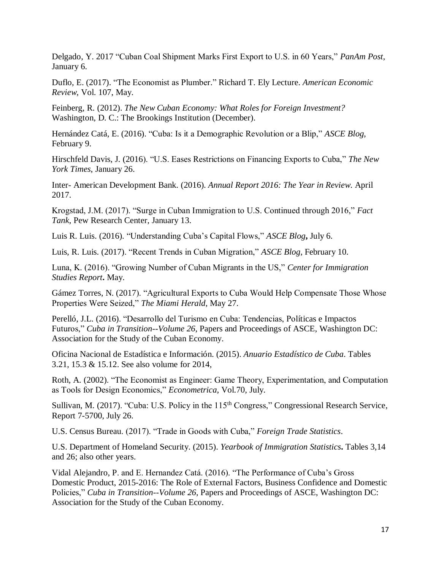Delgado, Y. 2017 "Cuban Coal Shipment Marks First Export to U.S. in 60 Years," *PanAm Post*, January 6.

Duflo, E. (2017). "The Economist as Plumber." Richard T. Ely Lecture. *American Economic Review*, Vol. 107, May.

Feinberg, R. (2012). *The New Cuban Economy: What Roles for Foreign Investment?* Washington, D. C.: The Brookings Institution (December).

Hernández Catá, E. (2016). "Cuba: Is it a Demographic Revolution or a Blip," *ASCE Blog*, February 9.

Hirschfeld Davis, J. (2016). "U.S. Eases Restrictions on Financing Exports to Cuba," *The New York Times*, January 26.

Inter- American Development Bank. (2016). *Annual Report 2016: The Year in Review*. April 2017.

Krogstad, J.M. (2017). "Surge in Cuban Immigration to U.S. Continued through 2016," *Fact Tank*, Pew Research Center, January 13.

Luis R. Luis. (2016). "Understanding Cuba's Capital Flows," *ASCE Blog***,** July 6.

Luis, R. Luis. (2017). "Recent Trends in Cuban Migration," *ASCE Blog*, February 10.

Luna, K. (2016). "Growing Number of Cuban Migrants in the US," *Center for Immigration Studies Report***.** May.

Gámez Torres, N. (2017). "Agricultural Exports to Cuba Would Help Compensate Those Whose Properties Were Seized," *The Miami Herald*, May 27.

Perelló, J.L. (2016). "Desarrollo del Turismo en Cuba: Tendencias, Políticas e Impactos Futuros," *Cuba in Transition--Volume 26*, Papers and Proceedings of ASCE, Washington DC: Association for the Study of the Cuban Economy.

Oficina Nacional de Estadística e Información. (2015). *Anuario Estadístico de Cuba*. Tables 3.21, 15.3 & 15.12. See also volume for 2014,

Roth, A. (2002). "The Economist as Engineer: Game Theory, Experimentation, and Computation as Tools for Design Economics," *Econometrica*, Vol.70, July.

Sullivan, M. (2017). "Cuba: U.S. Policy in the 115<sup>th</sup> Congress," Congressional Research Service, Report 7-5700, July 26.

U.S. Census Bureau. (2017). "Trade in Goods with Cuba," *Foreign Trade Statistics*.

U.S. Department of Homeland Security. (2015). *Yearbook of Immigration Statistics***.** Tables 3,14 and 26; also other years.

Vidal Alejandro, P. and E. Hernandez Catá. (2016). "The Performance of Cuba's Gross Domestic Product, 2015-2016: The Role of External Factors, Business Confidence and Domestic Policies," *Cuba in Transition--Volume 26*, Papers and Proceedings of ASCE, Washington DC: Association for the Study of the Cuban Economy.